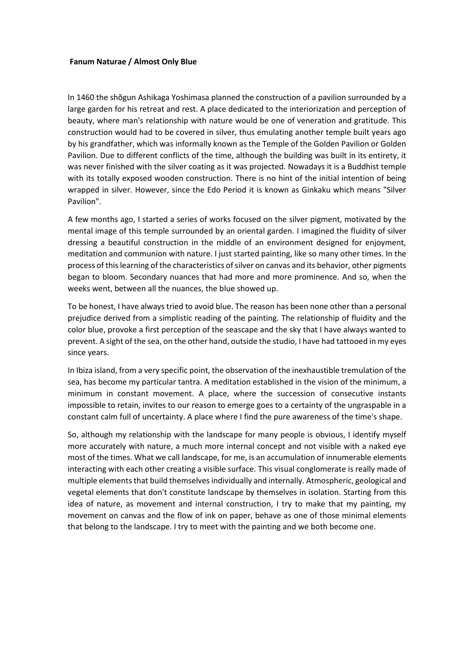## **Fanum Naturae / Almost Only Blue**

In 1460 the shõgun Ashikaga Yoshimasa planned the construction of a pavilion surrounded by a large garden for his retreat and rest. A place dedicated to the interiorization and perception of beauty, where man's relationship with nature would be one of veneration and gratitude. This construction would had to be covered in silver, thus emulating another temple built years ago by his grandfather, which was informally known as the Temple of the Golden Pavilion or Golden Pavilion. Due to different conflicts of the time, although the building was built in its entirety, it was never finished with the silver coating as it was projected. Nowadays it is a Buddhist temple with its totally exposed wooden construction. There is no hint of the initial intention of being wrapped in silver. However, since the Edo Period it is known as Ginkaku which means "Silver Pavilion".

A few months ago, I started a series of works focused on the silver pigment, motivated by the mental image of this temple surrounded by an oriental garden. I imagined the fluidity of silver dressing a beautiful construction in the middle of an environment designed for enjoyment, meditation and communion with nature. I just started painting, like so many other times. In the process of this learning of the characteristics of silver on canvas and its behavior, other pigments began to bloom. Secondary nuances that had more and more prominence. And so, when the weeks went, between all the nuances, the blue showed up.

To be honest, I have always tried to avoid blue. The reason has been none other than a personal prejudice derived from a simplistic reading of the painting. The relationship of fluidity and the color blue, provoke a first perception of the seascape and the sky that I have always wanted to prevent. A sight of the sea, on the other hand, outside the studio, I have had tattooed in my eyes since years.

In Ibiza island, from a very specific point, the observation of the inexhaustible tremulation of the sea, has become my particular tantra. A meditation established in the vision of the minimum, a minimum in constant movement. A place, where the succession of consecutive instants impossible to retain, invites to our reason to emerge goes to a certainty of the ungraspable in a constant calm full of uncertainty. A place where I find the pure awareness of the time's shape.

So, although my relationship with the landscape for many people is obvious, I identify myself more accurately with nature, a much more internal concept and not visible with a naked eye most of the times. What we call landscape, for me, is an accumulation of innumerable elements interacting with each other creating a visible surface. This visual conglomerate is really made of multiple elements that build themselves individually and internally. Atmospheric, geological and vegetal elements that don't constitute landscape by themselves in isolation. Starting from this idea of nature, as movement and internal construction, I try to make that my painting, my movement on canvas and the flow of ink on paper, behave as one of those minimal elements that belong to the landscape. I try to meet with the painting and we both become one.